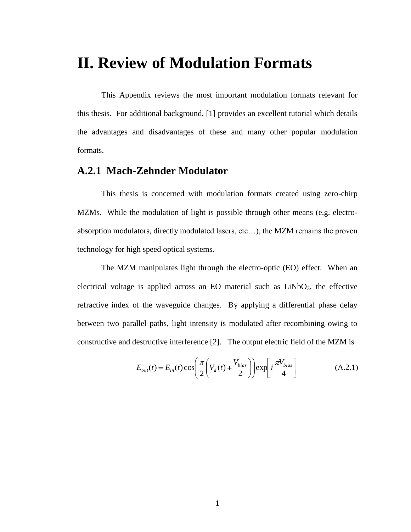# **II. Review of Modulation Formats**

This Appendix reviews the most important modulation formats relevant for this thesis. For additional background, [1] provides an excellent tutorial which details the advantages and disadvantages of these and many other popular modulation formats.

## **A.2.1 Mach-Zehnder Modulator**

This thesis is concerned with modulation formats created using zero-chirp MZMs. While the modulation of light is possible through other means (e.g. electroabsorption modulators, directly modulated lasers, etc…), the MZM remains the proven technology for high speed optical systems.

The MZM manipulates light through the electro-optic (EO) effect. When an electrical voltage is applied across an EO material such as  $LiNbO<sub>3</sub>$ , the effective refractive index of the waveguide changes. By applying a differential phase delay between two parallel paths, light intensity is modulated after recombining owing to constructive and destructive interference [2]. The output electric field of the MZM is

$$
E_{out}(t) = E_{in}(t)\cos\left(\frac{\pi}{2}\left(V_d(t) + \frac{V_{bias}}{2}\right)\right)\exp\left[i\frac{\pi V_{bias}}{4}\right]
$$
(A.2.1)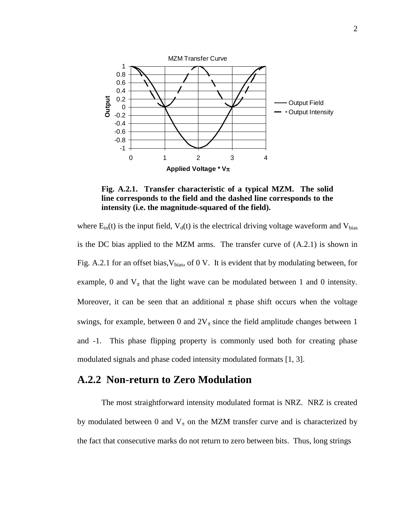

**Fig. A.2.1. Transfer characteristic of a typical MZM. The solid line corresponds to the field and the dashed line corresponds to the intensity (i.e. the magnitude-squared of the field).** 

where  $E_{in}(t)$  is the input field,  $V_d(t)$  is the electrical driving voltage waveform and  $V_{bias}$ is the DC bias applied to the MZM arms. The transfer curve of (A.2.1) is shown in Fig. A.2.1 for an offset bias,  $V_{bias}$ , of 0 V. It is evident that by modulating between, for example, 0 and  $V_{\pi}$  that the light wave can be modulated between 1 and 0 intensity. Moreover, it can be seen that an additional  $\pi$  phase shift occurs when the voltage swings, for example, between 0 and  $2V_{\pi}$  since the field amplitude changes between 1 and -1. This phase flipping property is commonly used both for creating phase modulated signals and phase coded intensity modulated formats [1, 3].

#### **A.2.2 Non-return to Zero Modulation**

The most straightforward intensity modulated format is NRZ. NRZ is created by modulated between 0 and  $V_{\pi}$  on the MZM transfer curve and is characterized by the fact that consecutive marks do not return to zero between bits. Thus, long strings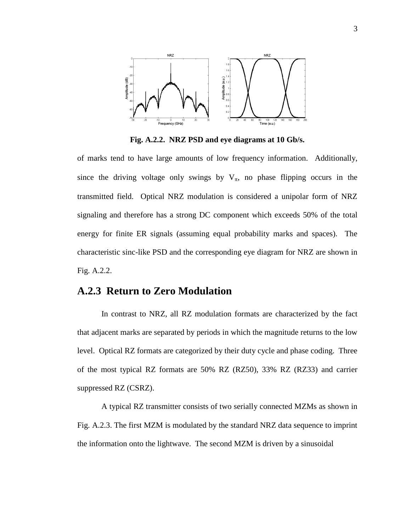

**Fig. A.2.2. NRZ PSD and eye diagrams at 10 Gb/s.**

of marks tend to have large amounts of low frequency information. Additionally, since the driving voltage only swings by  $V_{\pi}$ , no phase flipping occurs in the transmitted field. Optical NRZ modulation is considered a unipolar form of NRZ signaling and therefore has a strong DC component which exceeds 50% of the total energy for finite ER signals (assuming equal probability marks and spaces). The characteristic sinc-like PSD and the corresponding eye diagram for NRZ are shown in Fig. A.2.2.

## **A.2.3 Return to Zero Modulation**

In contrast to NRZ, all RZ modulation formats are characterized by the fact that adjacent marks are separated by periods in which the magnitude returns to the low level. Optical RZ formats are categorized by their duty cycle and phase coding. Three of the most typical RZ formats are 50% RZ (RZ50), 33% RZ (RZ33) and carrier suppressed RZ (CSRZ).

A typical RZ transmitter consists of two serially connected MZMs as shown in Fig. A.2.3. The first MZM is modulated by the standard NRZ data sequence to imprint the information onto the lightwave. The second MZM is driven by a sinusoidal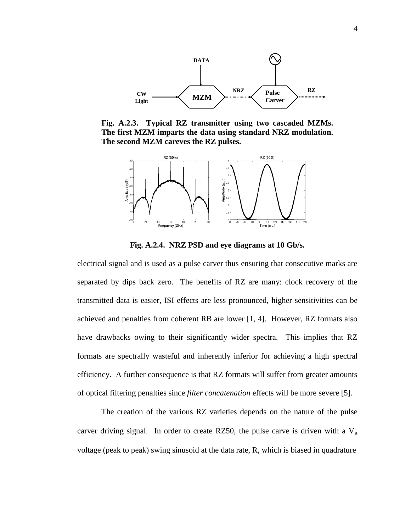

**Fig. A.2.3. Typical RZ transmitter using two cascaded MZMs. The first MZM imparts the data using standard NRZ modulation. The second MZM careves the RZ pulses.** 



**Fig. A.2.4. NRZ PSD and eye diagrams at 10 Gb/s.**

electrical signal and is used as a pulse carver thus ensuring that consecutive marks are separated by dips back zero. The benefits of RZ are many: clock recovery of the transmitted data is easier, ISI effects are less pronounced, higher sensitivities can be achieved and penalties from coherent RB are lower [1, 4]. However, RZ formats also have drawbacks owing to their significantly wider spectra. This implies that RZ formats are spectrally wasteful and inherently inferior for achieving a high spectral efficiency. A further consequence is that RZ formats will suffer from greater amounts of optical filtering penalties since *filter concatenation* effects will be more severe [5].

The creation of the various RZ varieties depends on the nature of the pulse carver driving signal. In order to create RZ50, the pulse carve is driven with a  $V_{\pi}$ voltage (peak to peak) swing sinusoid at the data rate, R, which is biased in quadrature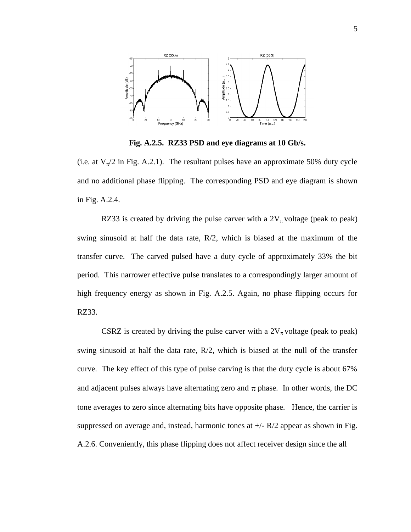

**Fig. A.2.5. RZ33 PSD and eye diagrams at 10 Gb/s.**

(i.e. at  $V_{\pi}/2$  in Fig. A.2.1). The resultant pulses have an approximate 50% duty cycle and no additional phase flipping. The corresponding PSD and eye diagram is shown in Fig. A.2.4.

RZ33 is created by driving the pulse carver with a  $2V_{\pi}$  voltage (peak to peak) swing sinusoid at half the data rate, R/2, which is biased at the maximum of the transfer curve. The carved pulsed have a duty cycle of approximately 33% the bit period. This narrower effective pulse translates to a correspondingly larger amount of high frequency energy as shown in Fig. A.2.5. Again, no phase flipping occurs for RZ33.

CSRZ is created by driving the pulse carver with a  $2V_{\pi}$  voltage (peak to peak) swing sinusoid at half the data rate,  $R/2$ , which is biased at the null of the transfer curve. The key effect of this type of pulse carving is that the duty cycle is about 67% and adjacent pulses always have alternating zero and  $\pi$  phase. In other words, the DC tone averages to zero since alternating bits have opposite phase. Hence, the carrier is suppressed on average and, instead, harmonic tones at  $+/- R/2$  appear as shown in Fig. A.2.6. Conveniently, this phase flipping does not affect receiver design since the all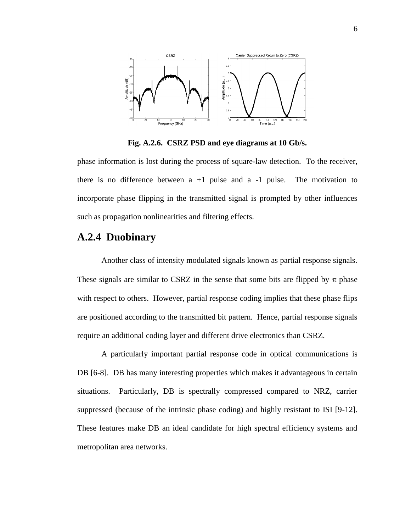

**Fig. A.2.6. CSRZ PSD and eye diagrams at 10 Gb/s.**

phase information is lost during the process of square-law detection. To the receiver, there is no difference between  $a +1$  pulse and  $a -1$  pulse. The motivation to incorporate phase flipping in the transmitted signal is prompted by other influences such as propagation nonlinearities and filtering effects.

#### **A.2.4 Duobinary**

Another class of intensity modulated signals known as partial response signals. These signals are similar to CSRZ in the sense that some bits are flipped by  $\pi$  phase with respect to others. However, partial response coding implies that these phase flips are positioned according to the transmitted bit pattern. Hence, partial response signals require an additional coding layer and different drive electronics than CSRZ.

A particularly important partial response code in optical communications is DB [6-8]. DB has many interesting properties which makes it advantageous in certain situations. Particularly, DB is spectrally compressed compared to NRZ, carrier suppressed (because of the intrinsic phase coding) and highly resistant to ISI [9-12]. These features make DB an ideal candidate for high spectral efficiency systems and metropolitan area networks.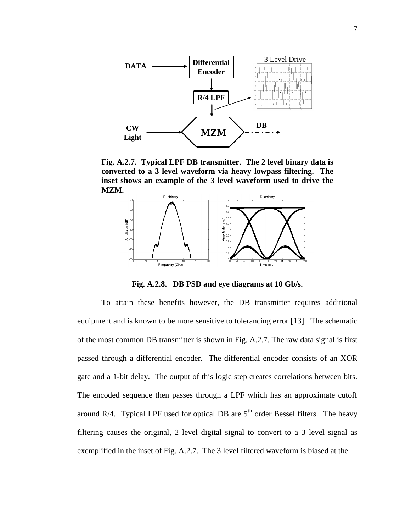

**Fig. A.2.7. Typical LPF DB transmitter. The 2 level binary data is converted to a 3 level waveform via heavy lowpass filtering. The inset shows an example of the 3 level waveform used to drive the MZM.** 



**Fig. A.2.8. DB PSD and eye diagrams at 10 Gb/s.**

To attain these benefits however, the DB transmitter requires additional equipment and is known to be more sensitive to tolerancing error [13]. The schematic of the most common DB transmitter is shown in Fig. A.2.7. The raw data signal is first passed through a differential encoder. The differential encoder consists of an XOR gate and a 1-bit delay. The output of this logic step creates correlations between bits. The encoded sequence then passes through a LPF which has an approximate cutoff around R/4. Typical LPF used for optical DB are  $5<sup>th</sup>$  order Bessel filters. The heavy filtering causes the original, 2 level digital signal to convert to a 3 level signal as exemplified in the inset of Fig. A.2.7. The 3 level filtered waveform is biased at the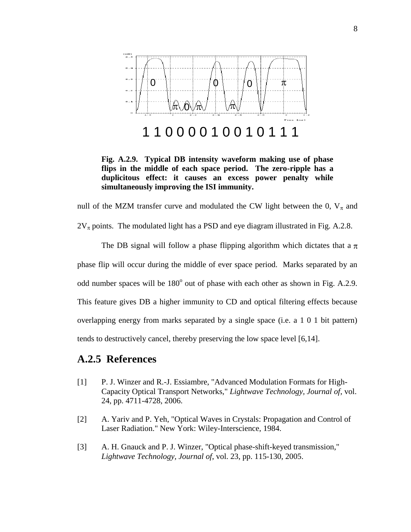

**Fig. A.2.9. Typical DB intensity waveform making use of phase flips in the middle of each space period. The zero-ripple has a duplicitous effect: it causes an excess power penalty while simultaneously improving the ISI immunity.** 

null of the MZM transfer curve and modulated the CW light between the 0,  $V_{\pi}$  and

 $2V_{\pi}$  points. The modulated light has a PSD and eye diagram illustrated in Fig. A.2.8.

The DB signal will follow a phase flipping algorithm which dictates that a  $\pi$ phase flip will occur during the middle of ever space period. Marks separated by an odd number spaces will be  $180^{\circ}$  out of phase with each other as shown in Fig. A.2.9. This feature gives DB a higher immunity to CD and optical filtering effects because overlapping energy from marks separated by a single space (i.e. a 1 0 1 bit pattern) tends to destructively cancel, thereby preserving the low space level [6,14].

#### **A.2.5 References**

- [1] P. J. Winzer and R.-J. Essiambre, "Advanced Modulation Formats for High-Capacity Optical Transport Networks," *Lightwave Technology, Journal of*, vol. 24, pp. 4711-4728, 2006.
- [2] A. Yariv and P. Yeh, "Optical Waves in Crystals: Propagation and Control of Laser Radiation." New York: Wiley-Interscience, 1984.
- [3] A. H. Gnauck and P. J. Winzer, "Optical phase-shift-keyed transmission," *Lightwave Technology, Journal of*, vol. 23, pp. 115-130, 2005.